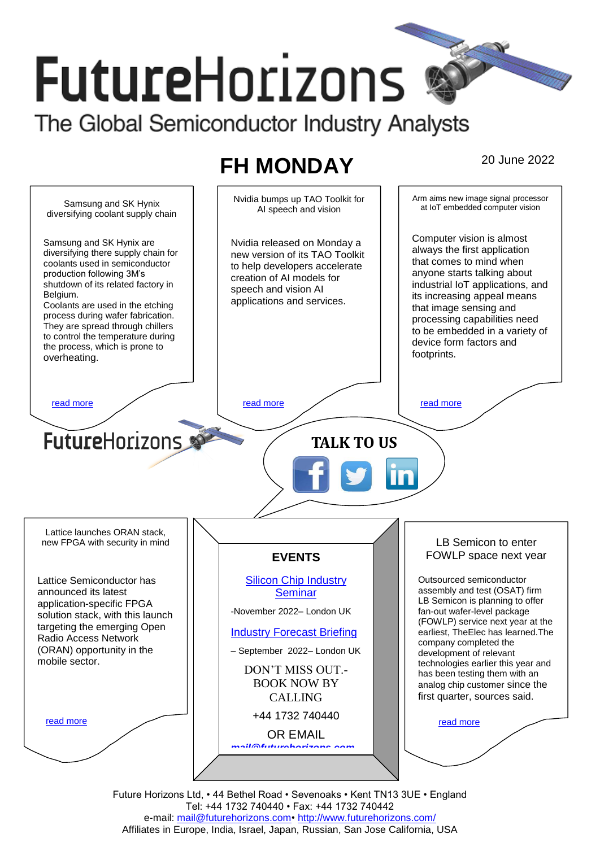# **FutureHorizons** The Global Semiconductor Industry Analysts

# **FH MONDAY** 20 June 2022



Future Horizons Ltd, • 44 Bethel Road • Sevenoaks • Kent TN13 3UE • England Tel: +44 1732 740440 • Fax: +44 1732 740442 e-mail: mail@futurehorizons.com• http://www.futurehorizons.com/ Affiliates in Europe, India, Israel, Japan, Russian, San Jose California, USA